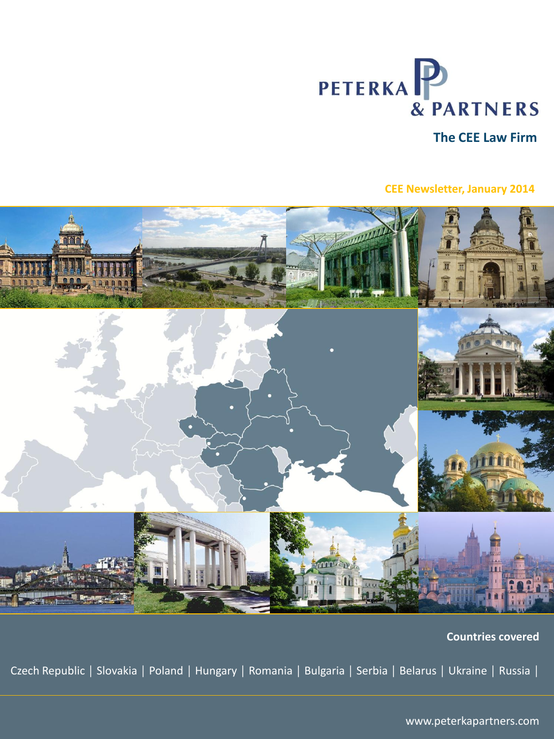

# **The CEE Law Firm**

# **CEE Newsletter, January 2014**



 **Countries covered**

Czech Republic │ Slovakia │ Poland │ Hungary │ Romania │ Bulgaria │ Serbia │ Belarus │ Ukraine │ Russia │

www.peterkapartners.com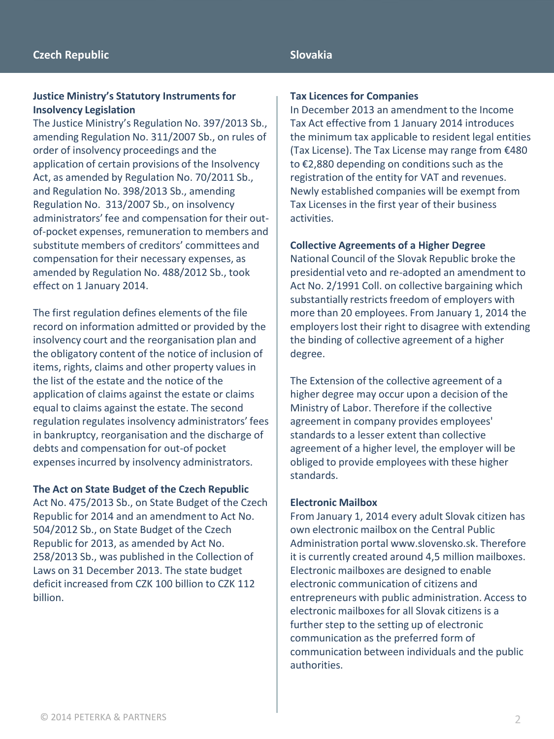#### **Slovakia**

#### **Justice Ministry's Statutory Instruments for Insolvency Legislation**

The Justice Ministry's Regulation No. 397/2013 Sb., amending Regulation No. 311/2007 Sb., on rules of order of insolvency proceedings and the application of certain provisions of the Insolvency Act, as amended by Regulation No. 70/2011 Sb., and Regulation No. 398/2013 Sb., amending Regulation No. 313/2007 Sb., on insolvency administrators' fee and compensation for their outof-pocket expenses, remuneration to members and substitute members of creditors' committees and compensation for their necessary expenses, as amended by Regulation No. 488/2012 Sb., took effect on 1 January 2014.

The first regulation defines elements of the file record on information admitted or provided by the insolvency court and the reorganisation plan and the obligatory content of the notice of inclusion of items, rights, claims and other property values in the list of the estate and the notice of the application of claims against the estate or claims equal to claims against the estate. The second regulation regulates insolvency administrators' fees in bankruptcy, reorganisation and the discharge of debts and compensation for out-of pocket expenses incurred by insolvency administrators.

## **The Act on State Budget of the Czech Republic**

Act No. 475/2013 Sb., on State Budget of the Czech Republic for 2014 and an amendment to Act No. 504/2012 Sb., on State Budget of the Czech Republic for 2013, as amended by Act No. 258/2013 Sb., was published in the Collection of Laws on 31 December 2013. The state budget deficit increased from CZK 100 billion to CZK 112 billion.

#### **Tax Licences for Companies**

In December 2013 an amendment to the Income Tax Act effective from 1 January 2014 introduces the minimum tax applicable to resident legal entities (Tax License). The Tax License may range from €480 to €2,880 depending on conditions such as the registration of the entity for VAT and revenues. Newly established companies will be exempt from Tax Licenses in the first year of their business activities.

#### **Collective Agreements of a Higher Degree**

National Council of the Slovak Republic broke the presidential veto and re-adopted an amendment to Act No. 2/1991 Coll. on collective bargaining which substantially restricts freedom of employers with more than 20 employees. From January 1, 2014 the employers lost their right to disagree with extending the binding of collective agreement of a higher degree.

The Extension of the collective agreement of a higher degree may occur upon a decision of the Ministry of Labor. Therefore if the collective agreement in company provides employees' standards to a lesser extent than collective agreement of a higher level, the employer will be obliged to provide employees with these higher standards.

#### **Electronic Mailbox**

From January 1, 2014 every adult Slovak citizen has own electronic mailbox on the Central Public Administration portal www.slovensko.sk. Therefore it is currently created around 4,5 million mailboxes. Electronic mailboxes are designed to enable electronic communication of citizens and entrepreneurs with public administration. Access to electronic mailboxes for all Slovak citizens is a further step to the setting up of electronic communication as the preferred form of communication between individuals and the public authorities.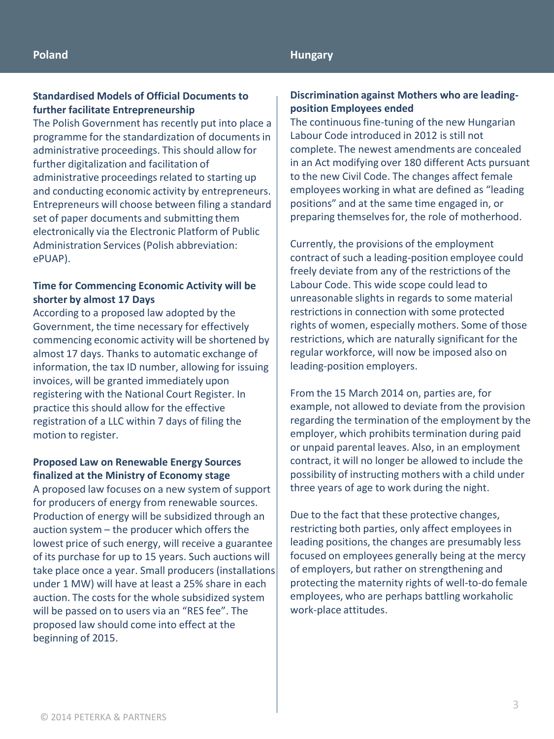#### **Standardised Models of Official Documents to further facilitate Entrepreneurship**

The Polish Government has recently put into place a programme for the standardization of documents in administrative proceedings. This should allow for further digitalization and facilitation of administrative proceedings related to starting up and conducting economic activity by entrepreneurs. Entrepreneurs will choose between filing a standard set of paper documents and submitting them electronically via the Electronic Platform of Public Administration Services (Polish abbreviation: ePUAP).

## **Time for Commencing Economic Activity will be shorter by almost 17 Days**

According to a proposed law adopted by the Government, the time necessary for effectively commencing economic activity will be shortened by almost 17 days. Thanks to automatic exchange of information, the tax ID number, allowing for issuing invoices, will be granted immediately upon registering with the National Court Register. In practice this should allow for the effective registration of a LLC within 7 days of filing the motion to register.

## **Proposed Law on Renewable Energy Sources finalized at the Ministry of Economy stage**

A proposed law focuses on a new system of support for producers of energy from renewable sources. Production of energy will be subsidized through an auction system – the producer which offers the lowest price of such energy, will receive a guarantee of its purchase for up to 15 years. Such auctions will take place once a year. Small producers (installations under 1 MW) will have at least a 25% share in each auction. The costs for the whole subsidized system will be passed on to users via an "RES fee". The proposed law should come into effect at the beginning of 2015.

## **Discrimination against Mothers who are leadingposition Employees ended**

The continuous fine-tuning of the new Hungarian Labour Code introduced in 2012 is still not complete. The newest amendments are concealed in an Act modifying over 180 different Acts pursuant to the new Civil Code. The changes affect female employees working in what are defined as "leading positions" and at the same time engaged in, or preparing themselves for, the role of motherhood.

Currently, the provisions of the employment contract of such a leading-position employee could freely deviate from any of the restrictions of the Labour Code. This wide scope could lead to unreasonable slights in regards to some material restrictions in connection with some protected rights of women, especially mothers. Some of those restrictions, which are naturally significant for the regular workforce, will now be imposed also on leading-position employers.

From the 15 March 2014 on, parties are, for example, not allowed to deviate from the provision regarding the termination of the employment by the employer, which prohibits termination during paid or unpaid parental leaves. Also, in an employment contract, it will no longer be allowed to include the possibility of instructing mothers with a child under three years of age to work during the night.

Due to the fact that these protective changes, restricting both parties, only affect employees in leading positions, the changes are presumably less focused on employees generally being at the mercy of employers, but rather on strengthening and protecting the maternity rights of well-to-do female employees, who are perhaps battling workaholic work-place attitudes.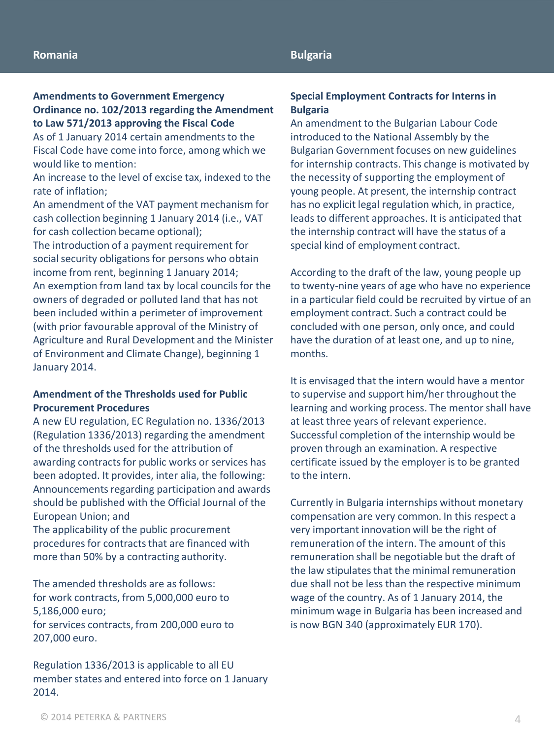## **Bulgaria**

## **Amendments to Government Emergency Ordinance no. 102/2013 regarding the Amendment to Law 571/2013 approving the Fiscal Code**

As of 1 January 2014 certain amendments to the Fiscal Code have come into force, among which we would like to mention:

An increase to the level of excise tax, indexed to the rate of inflation;

An amendment of the VAT payment mechanism for cash collection beginning 1 January 2014 (i.e., VAT for cash collection became optional);

The introduction of a payment requirement for social security obligations for persons who obtain income from rent, beginning 1 January 2014; An exemption from land tax by local councils for the owners of degraded or polluted land that has not been included within a perimeter of improvement (with prior favourable approval of the Ministry of Agriculture and Rural Development and the Minister of Environment and Climate Change), beginning 1 January 2014.

## **Amendment of the Thresholds used for Public Procurement Procedures**

A new EU regulation, EC Regulation no. 1336/2013 (Regulation 1336/2013) regarding the amendment of the thresholds used for the attribution of awarding contracts for public works or services has been adopted. It provides, inter alia, the following: Announcements regarding participation and awards should be published with the Official Journal of the European Union; and

The applicability of the public procurement procedures for contracts that are financed with more than 50% by a contracting authority.

The amended thresholds are as follows: for work contracts, from 5,000,000 euro to 5,186,000 euro; for services contracts, from 200,000 euro to 207,000 euro.

Regulation 1336/2013 is applicable to all EU member states and entered into force on 1 January 2014.

#### **Special Employment Contracts for Interns in Bulgaria**

An amendment to the Bulgarian Labour Code introduced to the National Assembly by the Bulgarian Government focuses on new guidelines for internship contracts. This change is motivated by the necessity of supporting the employment of young people. At present, the internship contract has no explicit legal regulation which, in practice, leads to different approaches. It is anticipated that the internship contract will have the status of a special kind of employment contract.

According to the draft of the law, young people up to twenty-nine years of age who have no experience in a particular field could be recruited by virtue of an employment contract. Such a contract could be concluded with one person, only once, and could have the duration of at least one, and up to nine, months.

It is envisaged that the intern would have a mentor to supervise and support him/her throughout the learning and working process. The mentor shall have at least three years of relevant experience. Successful completion of the internship would be proven through an examination. A respective certificate issued by the employer is to be granted to the intern.

Currently in Bulgaria internships without monetary compensation are very common. In this respect a very important innovation will be the right of remuneration of the intern. The amount of this remuneration shall be negotiable but the draft of the law stipulates that the minimal remuneration due shall not be less than the respective minimum wage of the country. As of 1 January 2014, the minimum wage in Bulgaria has been increased and is now BGN 340 (approximately EUR 170).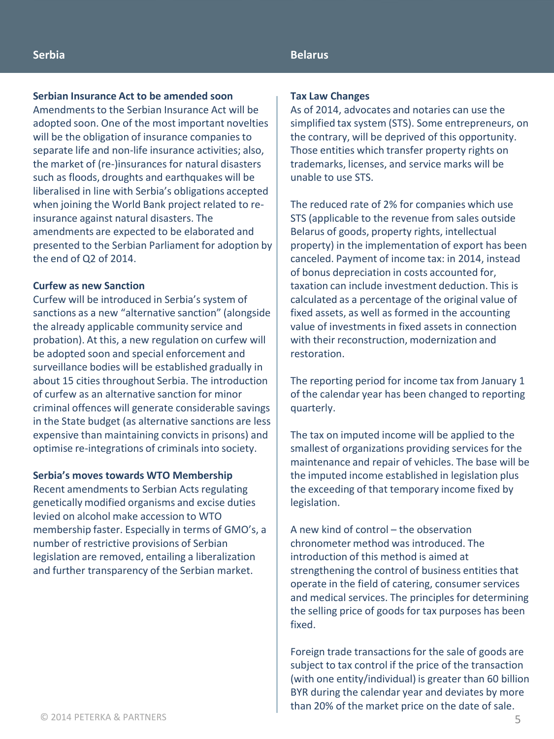#### **Belarus**

#### **Serbian Insurance Act to be amended soon**

Amendments to the Serbian Insurance Act will be adopted soon. One of the most important novelties will be the obligation of insurance companies to separate life and non-life insurance activities; also, the market of (re-)insurances for natural disasters such as floods, droughts and earthquakes will be liberalised in line with Serbia's obligations accepted when joining the World Bank project related to reinsurance against natural disasters. The amendments are expected to be elaborated and presented to the Serbian Parliament for adoption by the end of Q2 of 2014.

## **Curfew as new Sanction**

Curfew will be introduced in Serbia's system of sanctions as a new "alternative sanction" (alongside the already applicable community service and probation). At this, a new regulation on curfew will be adopted soon and special enforcement and surveillance bodies will be established gradually in about 15 cities throughout Serbia. The introduction of curfew as an alternative sanction for minor criminal offences will generate considerable savings in the State budget (as alternative sanctions are less expensive than maintaining convicts in prisons) and optimise re-integrations of criminals into society.

#### **Serbia's moves towards WTO Membership**

Recent amendments to Serbian Acts regulating genetically modified organisms and excise duties levied on alcohol make accession to WTO membership faster. Especially in terms of GMO's, a number of restrictive provisions of Serbian legislation are removed, entailing a liberalization and further transparency of the Serbian market.

#### **Tax Law Changes**

As of 2014, advocates and notaries can use the simplified tax system (STS). Some entrepreneurs, on the contrary, will be deprived of this opportunity. Those entities which transfer property rights on trademarks, licenses, and service marks will be unable to use STS.

The reduced rate of 2% for companies which use STS (applicable to the revenue from sales outside Belarus of goods, property rights, intellectual property) in the implementation of export has been canceled. Payment of income tax: in 2014, instead of bonus depreciation in costs accounted for, taxation can include investment deduction. This is calculated as a percentage of the original value of fixed assets, as well as formed in the accounting value of investments in fixed assets in connection with their reconstruction, modernization and restoration.

The reporting period for income tax from January 1 of the calendar year has been changed to reporting quarterly.

The tax on imputed income will be applied to the smallest of organizations providing services for the maintenance and repair of vehicles. The base will be the imputed income established in legislation plus the exceeding of that temporary income fixed by legislation.

A new kind of control – the observation chronometer method was introduced. The introduction of this method is aimed at strengthening the control of business entities that operate in the field of catering, consumer services and medical services. The principles for determining the selling price of goods for tax purposes has been fixed.

Foreign trade transactions for the sale of goods are subject to tax control if the price of the transaction (with one entity/individual) is greater than 60 billion BYR during the calendar year and deviates by more than 20% of the market price on the date of sale.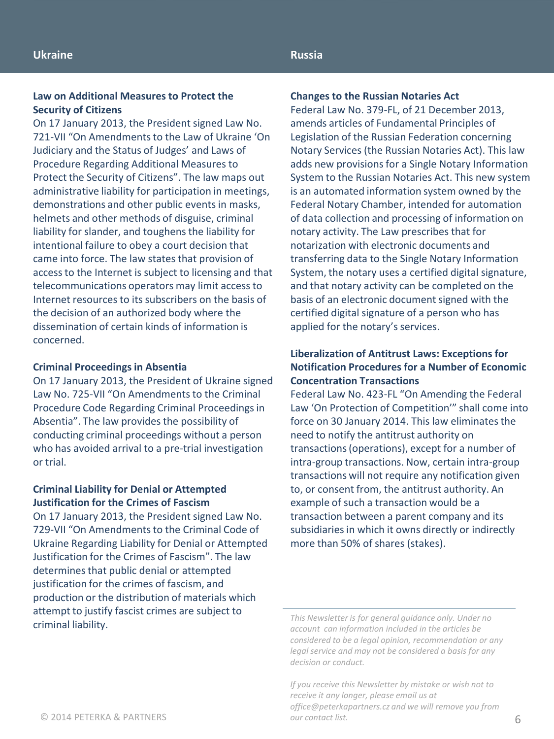## **Russia**

## **Law on Additional Measures to Protect the Security of Citizens**

On 17 January 2013, the President signed Law No. 721-VІІ "On Amendments to the Law of Ukraine 'On Judiciary and the Status of Judges' and Laws of Procedure Regarding Additional Measures to Protect the Security of Citizens". The law maps out administrative liability for participation in meetings, demonstrations and other public events in masks, helmets and other methods of disguise, criminal liability for slander, and toughens the liability for intentional failure to obey a court decision that came into force. The law states that provision of access to the Internet is subject to licensing and that telecommunications operators may limit access to Internet resources to its subscribers on the basis of the decision of an authorized body where the dissemination of certain kinds of information is concerned.

## **Criminal Proceedings in Absentia**

On 17 January 2013, the President of Ukraine signed Law No. 725-VІІ "On Amendments to the Criminal Procedure Code Regarding Criminal Proceedings in Absentia". The law provides the possibility of conducting criminal proceedings without a person who has avoided arrival to a pre-trial investigation or trial.

## **Criminal Liability for Denial or Attempted Justification for the Crimes of Fascism**

On 17 January 2013, the President signed Law No. 729-VІІ "On Amendments to the Criminal Code of Ukraine Regarding Liability for Denial or Attempted Justification for the Crimes of Fascism". The law determines that public denial or attempted justification for the crimes of fascism, and production or the distribution of materials which attempt to justify fascist crimes are subject to criminal liability.

#### **Changes to the Russian Notaries Act**

Federal Law No. 379-FL, of 21 December 2013, amends articles of Fundamental Principles of Legislation of the Russian Federation concerning Notary Services (the Russian Notaries Act). This law adds new provisions for a Single Notary Information System to the Russian Notaries Act. This new system is an automated information system owned by the Federal Notary Chamber, intended for automation of data collection and processing of information on notary activity. The Law prescribes that for notarization with electronic documents and transferring data to the Single Notary Information System, the notary uses a certified digital signature, and that notary activity can be completed on the basis of an electronic document signed with the certified digital signature of a person who has applied for the notary's services.

## **Liberalization of Antitrust Laws: Exceptions for Notification Procedures for a Number of Economic Concentration Transactions**

Federal Law No. 423-FL "On Amending the Federal Law 'On Protection of Competition'" shall come into force on 30 January 2014. This law eliminates the need to notify the antitrust authority on transactions (operations), except for a number of intra-group transactions. Now, certain intra-group transactions will not require any notification given to, or consent from, the antitrust authority. An example of such a transaction would be a transaction between a parent company and its subsidiaries in which it owns directly or indirectly more than 50% of shares (stakes).

*This Newsletter is for general guidance only. Under no account can information included in the articles be considered to be a legal opinion, recommendation or any legal service and may not be considered a basis for any decision or conduct.*

*If you receive this Newsletter by mistake or wish not to receive it any longer, please email us at office@peterkapartners.cz and we will remove you from*